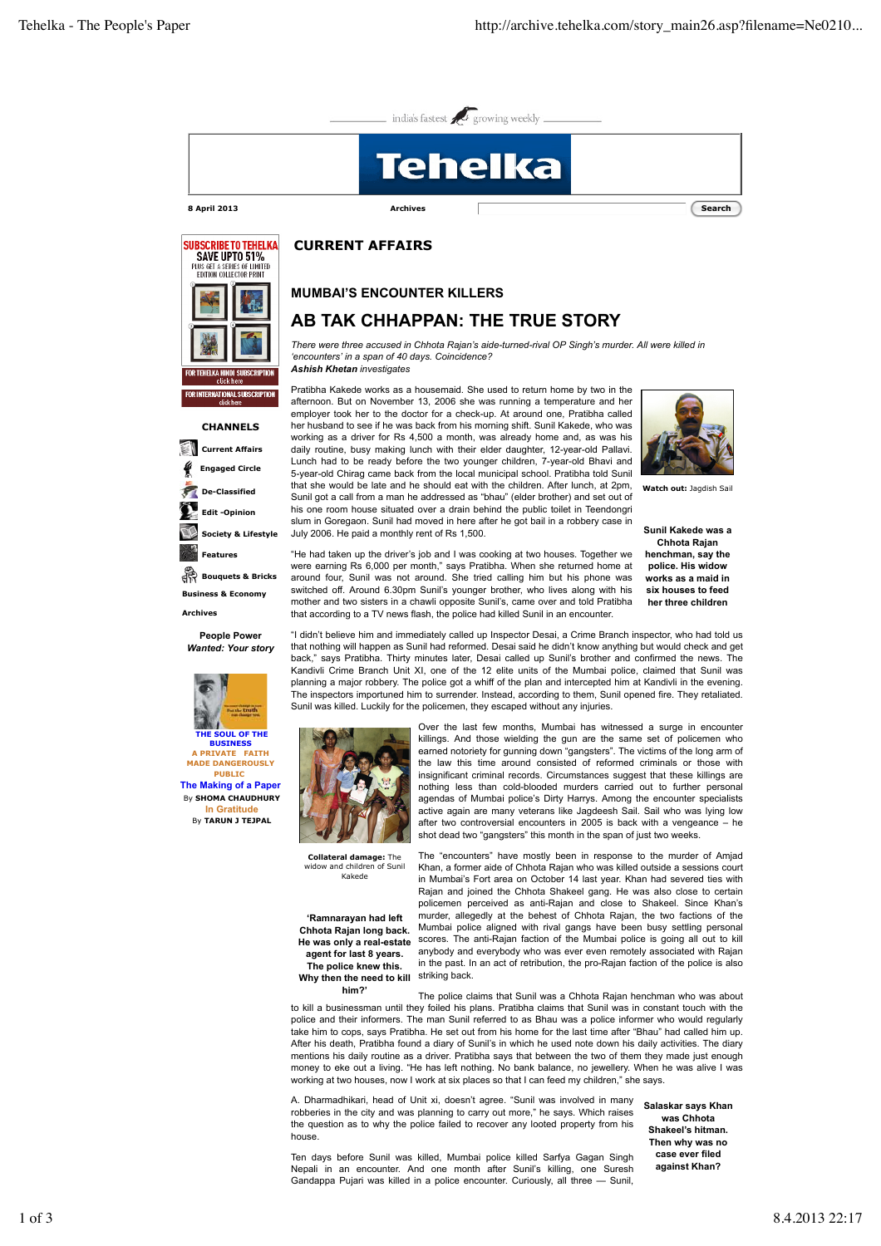



## **CHANNELS Current Affairs Engaged Circle De-Classified Edit -Opinion Society & Lifestyle Features Bouquets & Bricks Business & Economy**

 **Archives**

**People Power** *Wanted: Your story*



## **CURRENT AFFAIRS**

## **MUMBAI'S ENCOUNTER KILLERS**

## **AB TAK CHHAPPAN: THE TRUE STORY**

*There were three accused in Chhota Rajan's aide-turned-rival OP Singh's murder. All were killed in 'encounters' in a span of 40 days. Coincidence? Ashish Khetan investigates*

Pratibha Kakede works as a housemaid. She used to return home by two in the afternoon. But on November 13, 2006 she was running a temperature and her employer took her to the doctor for a check-up. At around one, Pratibha called her husband to see if he was back from his morning shift. Sunil Kakede, who was working as a driver for  $\text{Rs } 4,500$  a month, was already home and, as was his daily routine, busy making lunch with their elder daughter, 12-year-old Pallavi. Lunch had to be ready before the two younger children, 7-year-old Bhavi and 5-year-old Chirag came back from the local municipal school. Pratibha told Sunil that she would be late and he should eat with the children. After lunch, at 2pm, Sunil got a call from a man he addressed as "bhau" (elder brother) and set out of his one room house situated over a drain behind the public toilet in Teendongri slum in Goregaon. Sunil had moved in here after he got bail in a robbery case in July 2006. He paid a monthly rent of Rs 1,500.



**Watch out:** Jagdish Sail

**Sunil Kakede was a Chhota Rajan henchman, say the police. His widow works as a maid in six houses to feed her three children**

"He had taken up the driver's job and I was cooking at two houses. Together we were earning Rs 6,000 per month," says Pratibha. When she returned home at around four, Sunil was not around. She tried calling him but his phone was switched off. Around 6.30pm Sunil's younger brother, who lives along with his mother and two sisters in a chawli opposite Sunil's, came over and told Pratibha that according to a TV news flash, the police had killed Sunil in an encounter.

"I didn't believe him and immediately called up Inspector Desai, a Crime Branch inspector, who had told us that nothing will happen as Sunil had reformed. Desai said he didn't know anything but would check and get back," says Pratibha. Thirty minutes later, Desai called up Sunil's brother and confirmed the news. The Kandivli Crime Branch Unit XI, one of the 12 elite units of the Mumbai police, claimed that Sunil was planning a major robbery. The police got a whiff of the plan and intercepted him at Kandivli in the evening. The inspectors importuned him to surrender. Instead, according to them, Sunil opened fire. They retaliated. Sunil was killed. Luckily for the policemen, they escaped without any injuries.



**Collateral damage:** The widow and children of Sunil Kakede

**'Ramnarayan had left Chhota Rajan long back. He was only a real-estate agent for last 8 years. The police knew this.** Why then the need to kill striking back.

Over the last few months, Mumbai has witnessed a surge in encounter killings. And those wielding the gun are the same set of policemen who earned notoriety for gunning down "gangsters". The victims of the long arm of the law this time around consisted of reformed criminals or those with insignificant criminal records. Circumstances suggest that these killings are nothing less than cold-blooded murders carried out to further personal agendas of Mumbai police's Dirty Harrys. Among the encounter specialists active again are many veterans like Jagdeesh Sail. Sail who was lying low after two controversial encounters in 2005 is back with a vengeance – he shot dead two "gangsters" this month in the span of just two weeks.

The "encounters" have mostly been in response to the murder of Amjad Khan, a former aide of Chhota Rajan who was killed outside a sessions court in Mumbai's Fort area on October 14 last year. Khan had severed ties with Rajan and joined the Chhota Shakeel gang. He was also close to certain policemen perceived as anti-Rajan and close to Shakeel. Since Khan's murder, allegedly at the behest of Chhota Rajan, the two factions of the Mumbai police aligned with rival gangs have been busy settling personal scores. The anti-Rajan faction of the Mumbai police is going all out to kill anybody and everybody who was ever even remotely associated with Rajan in the past. In an act of retribution, the pro-Rajan faction of the police is also

**him?'** The police claims that Sunil was a Chhota Rajan henchman who was about to kill a businessman until they foiled his plans. Pratibha claims that Sunil was in constant touch with the police and their informers. The man Sunil referred to as Bhau was a police informer who would regularly take him to cops, says Pratibha. He set out from his home for the last time after "Bhau" had called him up. After his death, Pratibha found a diary of Sunil's in which he used note down his daily activities. The diary mentions his daily routine as a driver. Pratibha says that between the two of them they made just enough money to eke out a living. "He has left nothing. No bank balance, no jewellery. When he was alive I was working at two houses, now I work at six places so that I can feed my children," she says.

A. Dharmadhikari, head of Unit xi, doesn't agree. "Sunil was involved in many robberies in the city and was planning to carry out more," he says. Which raises the question as to why the police failed to recover any looted property from his house.

Ten days before Sunil was killed, Mumbai police killed Sarfya Gagan Singh Nepali in an encounter. And one month after Sunil's killing, one Suresh Gandappa Pujari was killed in a police encounter. Curiously, all three — Sunil,

**Salaskar says Khan was Chhota Shakeel's hitman. Then why was no case ever filed against Khan?**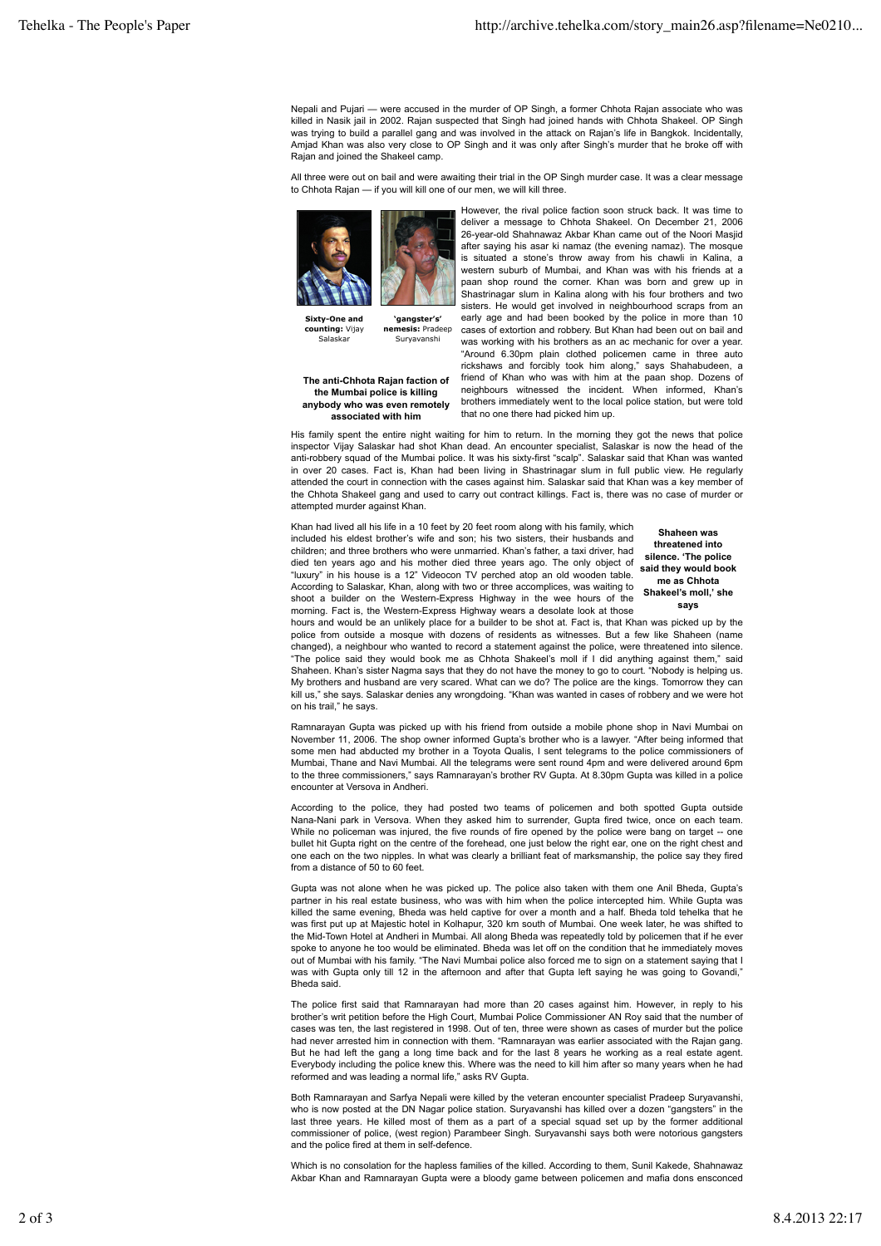Nepali and Pujari — were accused in the murder of OP Singh, a former Chhota Rajan associate who was killed in Nasik jail in 2002. Rajan suspected that Singh had joined hands with Chhota Shakeel. OP Singh was trying to build a parallel gang and was involved in the attack on Rajan's life in Bangkok. Incidentally, Amjad Khan was also very close to OP Singh and it was only after Singh's murder that he broke off with Rajan and joined the Shakeel camp.

All three were out on bail and were awaiting their trial in the OP Singh murder case. It was a clear message to Chhota Rajan — if you will kill one of our men, we will kill three.



**Sixty-One and counting:** Vijay Salaskar

**The anti-Chhota Rajan faction of the Mumbai police is killing anybody who was even remotely associated with him**

**nemesis:** Pradeep Suryavanshi

However, the rival police faction soon struck back. It was time to deliver a message to Chhota Shakeel. On December 21, 2006 26-year-old Shahnawaz Akbar Khan came out of the Noori Masjid after saying his asar ki namaz (the evening namaz). The mosque is situated a stone's throw away from his chawli in Kalina, a western suburb of Mumbai, and Khan was with his friends at a paan shop round the corner. Khan was born and grew up in Shastrinagar slum in Kalina along with his four brothers and two sisters. He would get involved in neighbourhood scraps from an early age and had been booked by the police in more than 10 cases of extortion and robbery. But Khan had been out on bail and was working with his brothers as an ac mechanic for over a year. "Around 6.30pm plain clothed policemen came in three auto rickshaws and forcibly took him along," says Shahabudeen, a friend of Khan who was with him at the paan shop. Dozens of neighbours witnessed the incident. When informed, Khan's brothers immediately went to the local police station, but were told that no one there had picked him up.

His family spent the entire night waiting for him to return. In the morning they got the news that police inspector Vijay Salaskar had shot Khan dead. An encounter specialist, Salaskar is now the head of the anti-robbery squad of the Mumbai police. It was his sixty-first "scalp". Salaskar said that Khan was wanted in over 20 cases. Fact is, Khan had been living in Shastrinagar slum in full public view. He regularly attended the court in connection with the cases against him. Salaskar said that Khan was a key member of the Chhota Shakeel gang and used to carry out contract killings. Fact is, there was no case of murder or attempted murder against Khan.

Khan had lived all his life in a 10 feet by 20 feet room along with his family, which included his eldest brother's wife and son; his two sisters, their husbands and children; and three brothers who were unmarried. Khan's father, a taxi driver, had died ten years ago and his mother died three years ago. The only object of "luxury" in his house is a 12" Videocon TV perched atop an old wooden table. According to Salaskar, Khan, along with two or three accomplices, was waiting to shoot a builder on the Western-Express Highway in the wee hours of the morning. Fact is, the Western-Express Highway wears a desolate look at those

**Shaheen was threatened into silence. 'The police said they would book me as Chhota Shakeel's moll,' she says**

hours and would be an unlikely place for a builder to be shot at. Fact is, that Khan was picked up by the police from outside a mosque with dozens of residents as witnesses. But a few like Shaheen (name changed), a neighbour who wanted to record a statement against the police, were threatened into silence. "The police said they would book me as Chhota Shakeel's moll if I did anything against them," said Shaheen. Khan's sister Nagma says that they do not have the money to go to court. "Nobody is helping us. My brothers and husband are very scared. What can we do? The police are the kings. Tomorrow they can kill us," she says. Salaskar denies any wrongdoing. "Khan was wanted in cases of robbery and we were hot on his trail," he says.

Ramnarayan Gupta was picked up with his friend from outside a mobile phone shop in Navi Mumbai on November 11, 2006. The shop owner informed Gupta's brother who is a lawyer. "After being informed that some men had abducted my brother in a Toyota Qualis, I sent telegrams to the police commissioners of Mumbai, Thane and Navi Mumbai. All the telegrams were sent round 4pm and were delivered around 6pm to the three commissioners," says Ramnarayan's brother RV Gupta. At 8.30pm Gupta was killed in a police encounter at Versova in Andheri.

According to the police, they had posted two teams of policemen and both spotted Gupta outside Nana-Nani park in Versova. When they asked him to surrender, Gupta fired twice, once on each team. While no policeman was injured, the five rounds of fire opened by the police were bang on target -- one bullet hit Gupta right on the centre of the forehead, one just below the right ear, one on the right chest and one each on the two nipples. In what was clearly a brilliant feat of marksmanship, the police say they fired from a distance of 50 to 60 feet.

Gupta was not alone when he was picked up. The police also taken with them one Anil Bheda, Gupta's partner in his real estate business, who was with him when the police intercepted him. While Gupta was killed the same evening, Bheda was held captive for over a month and a half. Bheda told tehelka that he was first put up at Majestic hotel in Kolhapur, 320 km south of Mumbai. One week later, he was shifted to the Mid-Town Hotel at Andheri in Mumbai. All along Bheda was repeatedly told by policemen that if he ever spoke to anyone he too would be eliminated. Bheda was let off on the condition that he immediately moves out of Mumbai with his family. "The Navi Mumbai police also forced me to sign on a statement saying that I was with Gupta only till 12 in the afternoon and after that Gupta left saying he was going to Govandi," Bheda said.

The police first said that Ramnarayan had more than 20 cases against him. However, in reply to his brother's writ petition before the High Court, Mumbai Police Commissioner AN Roy said that the number of cases was ten, the last registered in 1998. Out of ten, three were shown as cases of murder but the police had never arrested him in connection with them. "Ramnarayan was earlier associated with the Rajan gang. But he had left the gang a long time back and for the last 8 years he working as a real estate agent. Everybody including the police knew this. Where was the need to kill him after so many years when he had reformed and was leading a normal life," asks RV Gupta.

Both Ramnarayan and Sarfya Nepali were killed by the veteran encounter specialist Pradeep Suryavanshi, who is now posted at the DN Nagar police station. Suryavanshi has killed over a dozen "gangsters" in the last three years. He killed most of them as a part of a special squad set up by the former additional commissioner of police, (west region) Parambeer Singh. Suryavanshi says both were notorious gangsters and the police fired at them in self-defence.

Which is no consolation for the hapless families of the killed. According to them, Sunil Kakede, Shahnawaz Akbar Khan and Ramnarayan Gupta were a bloody game between policemen and mafia dons ensconced